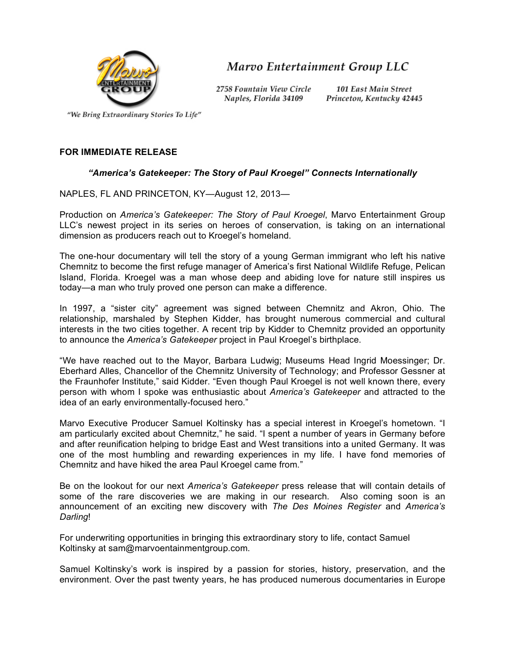

Marvo Entertainment Group LLC

2758 Fountain View Circle Naples, Florida 34109

**101 East Main Street** Princeton, Kentucky 42445

"We Bring Extraordinary Stories To Life"

## **FOR IMMEDIATE RELEASE**

## *"America's Gatekeeper: The Story of Paul Kroegel" Connects Internationally*

NAPLES, FL AND PRINCETON, KY—August 12, 2013—

Production on *America's Gatekeeper: The Story of Paul Kroegel*, Marvo Entertainment Group LLC's newest project in its series on heroes of conservation, is taking on an international dimension as producers reach out to Kroegel's homeland.

The one-hour documentary will tell the story of a young German immigrant who left his native Chemnitz to become the first refuge manager of America's first National Wildlife Refuge, Pelican Island, Florida. Kroegel was a man whose deep and abiding love for nature still inspires us today—a man who truly proved one person can make a difference.

In 1997, a "sister city" agreement was signed between Chemnitz and Akron, Ohio. The relationship, marshaled by Stephen Kidder, has brought numerous commercial and cultural interests in the two cities together. A recent trip by Kidder to Chemnitz provided an opportunity to announce the *America's Gatekeeper* project in Paul Kroegel's birthplace.

"We have reached out to the Mayor, Barbara Ludwig; Museums Head Ingrid Moessinger; Dr. Eberhard Alles, Chancellor of the Chemnitz University of Technology; and Professor Gessner at the Fraunhofer Institute," said Kidder. "Even though Paul Kroegel is not well known there, every person with whom I spoke was enthusiastic about *America's Gatekeeper* and attracted to the idea of an early environmentally-focused hero."

Marvo Executive Producer Samuel Koltinsky has a special interest in Kroegel's hometown. "I am particularly excited about Chemnitz," he said. "I spent a number of years in Germany before and after reunification helping to bridge East and West transitions into a united Germany. It was one of the most humbling and rewarding experiences in my life. I have fond memories of Chemnitz and have hiked the area Paul Kroegel came from."

Be on the lookout for our next *America's Gatekeeper* press release that will contain details of some of the rare discoveries we are making in our research. Also coming soon is an announcement of an exciting new discovery with *The Des Moines Register* and *America's Darling*!

For underwriting opportunities in bringing this extraordinary story to life, contact Samuel Koltinsky at sam@marvoentainmentgroup.com.

Samuel Koltinsky's work is inspired by a passion for stories, history, preservation, and the environment. Over the past twenty years, he has produced numerous documentaries in Europe